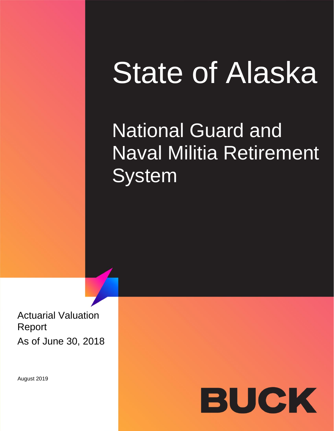# State of Alaska

## **National Guard and** Naval Militia Retirement **System**

Actuarial Valuation Report As of June 30, 2018

August 2019

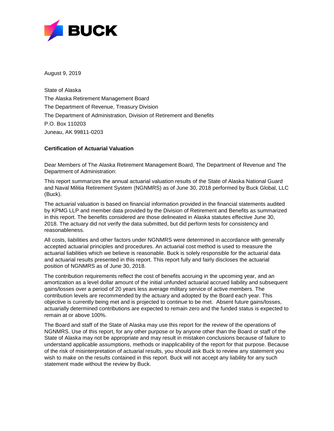

August 9, 2019

State of Alaska The Alaska Retirement Management Board The Department of Revenue, Treasury Division The Department of Administration, Division of Retirement and Benefits P.O. Box 110203 Juneau, AK 99811-0203

### **Certification of Actuarial Valuation**

Dear Members of The Alaska Retirement Management Board, The Department of Revenue and The Department of Administration:

This report summarizes the annual actuarial valuation results of the State of Alaska National Guard and Naval Militia Retirement System (NGNMRS) as of June 30, 2018 performed by Buck Global, LLC (Buck).

The actuarial valuation is based on financial information provided in the financial statements audited by KPMG LLP and member data provided by the Division of Retirement and Benefits as summarized in this report. The benefits considered are those delineated in Alaska statutes effective June 30, 2018. The actuary did not verify the data submitted, but did perform tests for consistency and reasonableness.

All costs, liabilities and other factors under NGNMRS were determined in accordance with generally accepted actuarial principles and procedures. An actuarial cost method is used to measure the actuarial liabilities which we believe is reasonable. Buck is solely responsible for the actuarial data and actuarial results presented in this report. This report fully and fairly discloses the actuarial position of NGNMRS as of June 30, 2018.

The contribution requirements reflect the cost of benefits accruing in the upcoming year, and an amortization as a level dollar amount of the initial unfunded actuarial accrued liability and subsequent gains/losses over a period of 20 years less average military service of active members. The contribution levels are recommended by the actuary and adopted by the Board each year. This objective is currently being met and is projected to continue to be met. Absent future gains/losses, actuarially determined contributions are expected to remain zero and the funded status is expected to remain at or above 100%.

The Board and staff of the State of Alaska may use this report for the review of the operations of NGNMRS. Use of this report, for any other purpose or by anyone other than the Board or staff of the State of Alaska may not be appropriate and may result in mistaken conclusions because of failure to understand applicable assumptions, methods or inapplicability of the report for that purpose. Because of the risk of misinterpretation of actuarial results, you should ask Buck to review any statement you wish to make on the results contained in this report. Buck will not accept any liability for any such statement made without the review by Buck.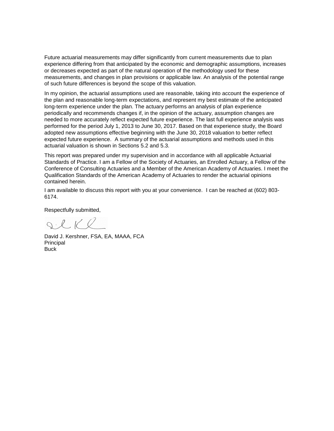Future actuarial measurements may differ significantly from current measurements due to plan experience differing from that anticipated by the economic and demographic assumptions, increases or decreases expected as part of the natural operation of the methodology used for these measurements, and changes in plan provisions or applicable law. An analysis of the potential range of such future differences is beyond the scope of this valuation.

In my opinion, the actuarial assumptions used are reasonable, taking into account the experience of the plan and reasonable long-term expectations, and represent my best estimate of the anticipated long-term experience under the plan. The actuary performs an analysis of plan experience periodically and recommends changes if, in the opinion of the actuary, assumption changes are needed to more accurately reflect expected future experience. The last full experience analysis was performed for the period July 1, 2013 to June 30, 2017. Based on that experience study, the Board adopted new assumptions effective beginning with the June 30, 2018 valuation to better reflect expected future experience. A summary of the actuarial assumptions and methods used in this actuarial valuation is shown in Sections 5.2 and 5.3.

This report was prepared under my supervision and in accordance with all applicable Actuarial Standards of Practice. I am a Fellow of the Society of Actuaries, an Enrolled Actuary, a Fellow of the Conference of Consulting Actuaries and a Member of the American Academy of Actuaries. I meet the Qualification Standards of the American Academy of Actuaries to render the actuarial opinions contained herein.

I am available to discuss this report with you at your convenience. I can be reached at (602) 803- 6174.

Respectfully submitted,

SCKR

David J. Kershner, FSA, EA, MAAA, FCA Principal **Buck**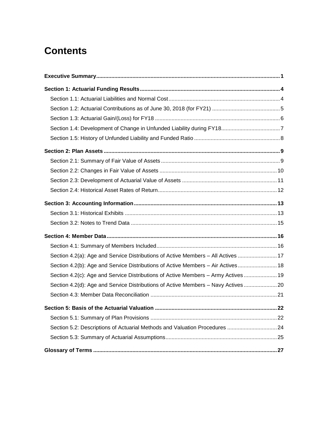### **Contents**

| Section 4.2(a): Age and Service Distributions of Active Members - All Actives  17  |
|------------------------------------------------------------------------------------|
| Section 4.2(b): Age and Service Distributions of Active Members - Air Actives 18   |
| Section 4.2(c): Age and Service Distributions of Active Members - Army Actives  19 |
| Section 4.2(d): Age and Service Distributions of Active Members - Navy Actives  20 |
|                                                                                    |
|                                                                                    |
|                                                                                    |
| Section 5.2: Descriptions of Actuarial Methods and Valuation Procedures 24         |
|                                                                                    |
|                                                                                    |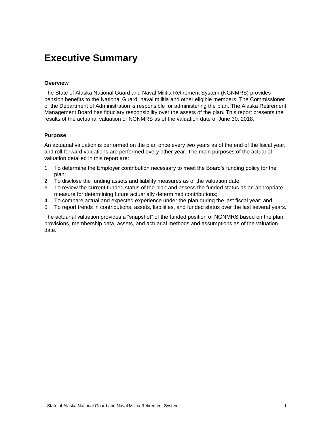### <span id="page-4-0"></span>**Executive Summary**

#### **Overview**

The State of Alaska National Guard and Naval Militia Retirement System (NGNMRS) provides pension benefits to the National Guard, naval militia and other eligible members. The Commissioner of the Department of Administration is responsible for administering the plan. The Alaska Retirement Management Board has fiduciary responsibility over the assets of the plan. This report presents the results of the actuarial valuation of NGNMRS as of the valuation date of June 30, 2018.

#### **Purpose**

An actuarial valuation is performed on the plan once every two years as of the end of the fiscal year, and roll-forward valuations are performed every other year. The main purposes of the actuarial valuation detailed in this report are:

- 1. To determine the Employer contribution necessary to meet the Board's funding policy for the plan;
- 2. To disclose the funding assets and liability measures as of the valuation date;
- 3. To review the current funded status of the plan and assess the funded status as an appropriate measure for determining future actuarially determined contributions;
- 4. To compare actual and expected experience under the plan during the last fiscal year; and
- 5. To report trends in contributions, assets, liabilities, and funded status over the last several years.

The actuarial valuation provides a "snapshot" of the funded position of NGNMRS based on the plan provisions, membership data, assets, and actuarial methods and assumptions as of the valuation date.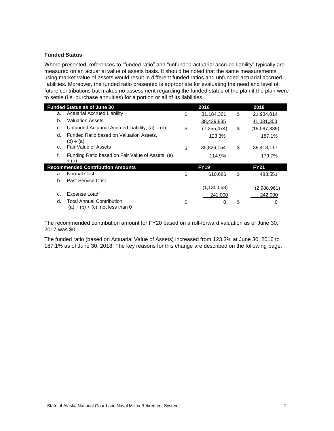#### **Funded Status**

Where presented, references to "funded ratio" and "unfunded actuarial accrued liability" typically are measured on an actuarial value of assets basis. It should be noted that the same measurements using market value of assets would result in different funded ratios and unfunded actuarial accrued liabilities. Moreover, the funded ratio presented is appropriate for evaluating the need and level of future contributions but makes no assessment regarding the funded status of the plan if the plan were to settle (i.e. purchase annuities) for a portion or all of its liabilities.

|         | <b>Funded Status as of June 30</b>                                | 2016                | 2018               |
|---------|-------------------------------------------------------------------|---------------------|--------------------|
| a.      | <b>Actuarial Accrued Liability</b>                                | \$<br>31,184,361    | \$<br>21,934,014   |
| b.      | <b>Valuation Assets</b>                                           | 38,439,835          | 41,031,353         |
| c.      | Unfunded Actuarial Accrued Liability, $(a) - (b)$                 | \$<br>(7, 255, 474) | \$<br>(19,097,339) |
| d.      | Funded Ratio based on Valuation Assets.<br>(b) ÷ (a)              | 123.3%              | 187.1%             |
| $e_{1}$ | Fair Value of Assets                                              | \$<br>35,826,154    | \$<br>39,418,117   |
| f.      | Funding Ratio based on Fair Value of Assets, (e)<br>$\div$ (a)    | 114.9%              | 179.7%             |
|         | <b>Recommended Contribution Amounts</b>                           | <b>FY19</b>         | <b>FY21</b>        |
| a.      | Normal Cost                                                       | \$<br>610,686       | \$<br>483.551      |
| b.      | Past Service Cost                                                 |                     |                    |
|         |                                                                   | (1, 135, 568)       | (2,988,961)        |
| c.      | Expense Load                                                      | 241,000             | 242,000            |
| d.      | Total Annual Contribution,<br>$(a) + (b) + (c)$ , not less than 0 | \$<br>0             | \$<br>0            |

The recommended contribution amount for FY20 based on a roll-forward valuation as of June 30, 2017 was \$0.

The funded ratio (based on Actuarial Value of Assets) increased from 123.3% at June 30, 2016 to 187.1% as of June 30, 2018. The key reasons for this change are described on the following page.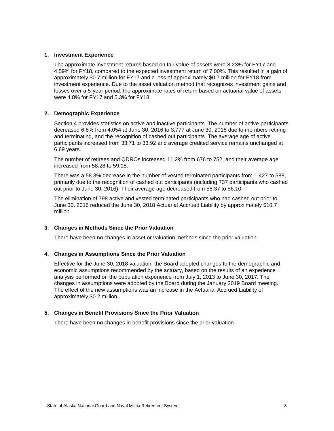#### **1. Investment Experience**

The approximate investment returns based on fair value of assets were 8.23% for FY17 and 4.59% for FY18, compared to the expected investment return of 7.00%. This resulted in a gain of approximately \$0.7 million for FY17 and a loss of approximately \$0.7 million for FY18 from investment experience. Due to the asset valuation method that recognizes investment gains and losses over a 5-year period, the approximate rates of return based on actuarial value of assets were 4.8% for FY17 and 5.3% for FY18.

### **2. Demographic Experience**

Section 4 provides statistics on active and inactive participants. The number of active participants decreased 6.8% from 4,054 at June 30, 2016 to 3,777 at June 30, 2018 due to members retiring and terminating, and the recognition of cashed out participants. The average age of active participants increased from 33.71 to 33.92 and average credited service remains unchanged at 6.69 years.

The number of retirees and QDROs increased 11.2% from 676 to 752, and their average age increased from 58.28 to 59.18.

There was a 58.8% decrease in the number of vested terminated participants from 1,427 to 588, primarily due to the recognition of cashed out participants (including 737 participants who cashed out prior to June 30, 2016). Their average age decreased from 58.37 to 56.10.

The elimination of 798 active and vested terminated participants who had cashed out prior to June 30, 2016 reduced the June 30, 2018 Actuarial Accrued Liability by approximately \$10.7 million.

#### **3. Changes in Methods Since the Prior Valuation**

There have been no changes in asset or valuation methods since the prior valuation.

#### **4. Changes in Assumptions Since the Prior Valuation**

Effective for the June 30, 2018 valuation, the Board adopted changes to the demographic and economic assumptions recommended by the actuary, based on the results of an experience analysis performed on the population experience from July 1, 2013 to June 30, 2017. The changes in assumptions were adopted by the Board during the January 2019 Board meeting. The effect of the new assumptions was an increase in the Actuarial Accrued Liability of approximately \$0.2 million.

#### **5. Changes in Benefit Provisions Since the Prior Valuation**

There have been no changes in benefit provisions since the prior valuation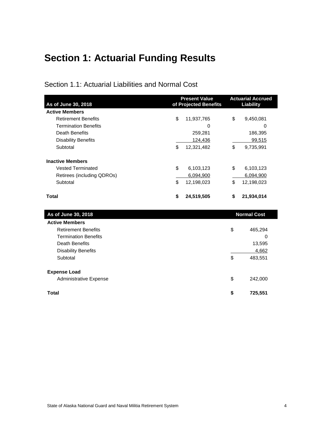### <span id="page-7-0"></span>**Section 1: Actuarial Funding Results**

<span id="page-7-1"></span>Section 1.1: Actuarial Liabilities and Normal Cost

| As of June 30, 2018         |    | <b>Present Value</b><br>of Projected Benefits | <b>Actuarial Accrued</b><br><b>Liability</b> |                    |  |
|-----------------------------|----|-----------------------------------------------|----------------------------------------------|--------------------|--|
| <b>Active Members</b>       |    |                                               |                                              |                    |  |
| <b>Retirement Benefits</b>  | \$ | 11,937,765                                    | \$                                           | 9,450,081          |  |
| <b>Termination Benefits</b> |    | 0                                             |                                              | 0                  |  |
| Death Benefits              |    | 259,281                                       |                                              | 186,395            |  |
| <b>Disability Benefits</b>  |    | 124,436                                       |                                              | 99,515             |  |
| Subtotal                    | \$ | 12,321,482                                    | \$                                           | 9,735,991          |  |
| <b>Inactive Members</b>     |    |                                               |                                              |                    |  |
| <b>Vested Terminated</b>    | \$ | 6,103,123                                     | \$                                           | 6,103,123          |  |
| Retirees (including QDROs)  |    | 6,094,900                                     |                                              | 6,094,900          |  |
| Subtotal                    | \$ | 12,198,023                                    | \$                                           | 12,198,023         |  |
| <b>Total</b>                | \$ | 24,519,505                                    | \$                                           | 21,934,014         |  |
| As of June 30, 2018         |    |                                               |                                              | <b>Normal Cost</b> |  |
| <b>Active Members</b>       |    |                                               |                                              |                    |  |
| <b>Retirement Benefits</b>  |    |                                               | \$                                           | 465,294            |  |
| <b>Termination Benefits</b> |    |                                               |                                              | 0                  |  |
| <b>Death Benefits</b>       |    |                                               |                                              | 13,595             |  |
| <b>Disability Benefits</b>  |    |                                               |                                              | 4,662              |  |
| Subtotal                    |    |                                               | \$                                           | 483,551            |  |

| <b>Expense Load</b>    |      |         |
|------------------------|------|---------|
| Administrative Expense | -SS  | 242,000 |
| Total                  | - 56 | 725,551 |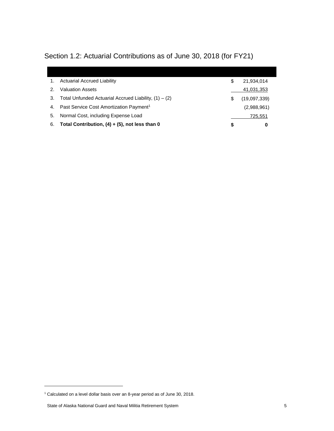| 1. | <b>Actuarial Accrued Liability</b>                      | S | 21,934,014   |
|----|---------------------------------------------------------|---|--------------|
| 2. | <b>Valuation Assets</b>                                 |   | 41,031,353   |
| 3. | Total Unfunded Actuarial Accrued Liability, $(1) - (2)$ | S | (19,097,339) |
| 4. | Past Service Cost Amortization Payment <sup>1</sup>     |   | (2,988,961)  |
| 5. | Normal Cost, including Expense Load                     |   | 725.551      |
| 6. | Total Contribution, $(4) + (5)$ , not less than 0       | S | 0            |

### <span id="page-8-0"></span>Section 1.2: Actuarial Contributions as of June 30, 2018 (for FY21)

l

<sup>1</sup> Calculated on a level dollar basis over an 8-year period as of June 30, 2018.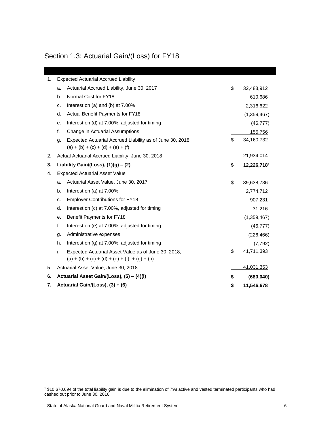### <span id="page-9-0"></span>Section 1.3: Actuarial Gain/(Loss) for FY18

| <b>Expected Actuarial Accrued Liability</b><br>1. |                                                     |                                                                                                        |    |             |  |  |  |
|---------------------------------------------------|-----------------------------------------------------|--------------------------------------------------------------------------------------------------------|----|-------------|--|--|--|
|                                                   | a.                                                  | Actuarial Accrued Liability, June 30, 2017                                                             | \$ | 32,483,912  |  |  |  |
|                                                   | b.                                                  | Normal Cost for FY18                                                                                   |    | 610,686     |  |  |  |
|                                                   | c.                                                  | Interest on (a) and (b) at 7.00%                                                                       |    | 2,316,622   |  |  |  |
|                                                   | d.                                                  | <b>Actual Benefit Payments for FY18</b>                                                                |    | (1,359,467) |  |  |  |
|                                                   | е.                                                  | Interest on (d) at 7.00%, adjusted for timing                                                          |    | (46, 777)   |  |  |  |
|                                                   | f.                                                  | Change in Actuarial Assumptions                                                                        |    | 155,756     |  |  |  |
|                                                   | g.                                                  | Expected Actuarial Accrued Liability as of June 30, 2018,<br>$(a) + (b) + (c) + (d) + (e) + (f)$       | \$ | 34,160,732  |  |  |  |
| 2.                                                |                                                     | Actual Actuarial Accrued Liability, June 30, 2018                                                      |    | 21,934,014  |  |  |  |
| 3.                                                |                                                     | Liability Gain/(Loss), $(1)(g) - (2)$                                                                  | \$ | 12,226,7181 |  |  |  |
| 4.                                                |                                                     | <b>Expected Actuarial Asset Value</b>                                                                  |    |             |  |  |  |
|                                                   | a.                                                  | Actuarial Asset Value, June 30, 2017                                                                   | \$ | 39,638,736  |  |  |  |
|                                                   | b.                                                  | Interest on (a) at 7.00%                                                                               |    | 2,774,712   |  |  |  |
|                                                   | c.                                                  | <b>Employer Contributions for FY18</b>                                                                 |    | 907,231     |  |  |  |
|                                                   | d.<br>Interest on (c) at 7.00%, adjusted for timing |                                                                                                        |    | 31,216      |  |  |  |
|                                                   | е.                                                  | Benefit Payments for FY18                                                                              |    | (1,359,467) |  |  |  |
|                                                   | f.                                                  | Interest on (e) at 7.00%, adjusted for timing                                                          |    | (46, 777)   |  |  |  |
|                                                   | g.                                                  | Administrative expenses                                                                                |    | (226, 466)  |  |  |  |
|                                                   | h.                                                  | Interest on (g) at 7.00%, adjusted for timing                                                          |    | (7, 792)    |  |  |  |
|                                                   | i.                                                  | Expected Actuarial Asset Value as of June 30, 2018,<br>$(a) + (b) + (c) + (d) + (e) + (f) + (g) + (h)$ | \$ | 41,711,393  |  |  |  |
| 5.                                                |                                                     | Actuarial Asset Value, June 30, 2018                                                                   |    | 41,031,353  |  |  |  |
| 6.                                                |                                                     | Actuarial Asset Gain/(Loss), (5) - (4)(i)                                                              | \$ | (680, 040)  |  |  |  |
| 7.                                                |                                                     | Actuarial Gain/(Loss), (3) + (6)                                                                       | \$ | 11,546,678  |  |  |  |

l

<sup>1</sup> \$10,670,694 of the total liability gain is due to the elimination of 798 active and vested terminated participants who had cashed out prior to June 30, 2016.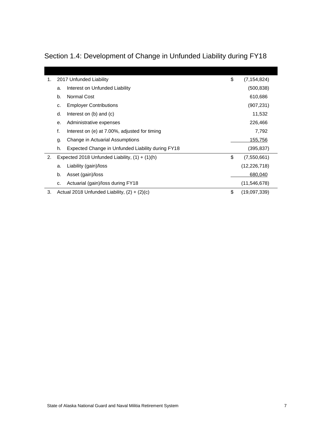| 1. |    | 2017 Unfunded Liability                           | \$<br>(7, 154, 824) |
|----|----|---------------------------------------------------|---------------------|
|    | a. | Interest on Unfunded Liability                    | (500, 838)          |
|    | b. | Normal Cost                                       | 610,686             |
|    | c. | <b>Employer Contributions</b>                     | (907, 231)          |
|    | d. | Interest on $(b)$ and $(c)$                       | 11,532              |
|    | е. | Administrative expenses                           | 226,466             |
|    | f. | Interest on (e) at 7.00%, adjusted for timing     | 7,792               |
|    | g. | Change in Actuarial Assumptions                   | 155,756             |
|    | h. | Expected Change in Unfunded Liability during FY18 | (395, 837)          |
| 2. |    | Expected 2018 Unfunded Liability, $(1) + (1)(h)$  | \$<br>(7,550,661)   |
|    | a. | Liability (gain)/loss                             | (12, 226, 718)      |
|    | b. | Asset (gain)/loss                                 | 680,040             |
|    | c. | Actuarial (gain)/loss during FY18                 | (11, 546, 678)      |
| 3. |    | Actual 2018 Unfunded Liability, $(2) + (2)(c)$    | \$<br>(19,097,339)  |

### <span id="page-10-0"></span>Section 1.4: Development of Change in Unfunded Liability during FY18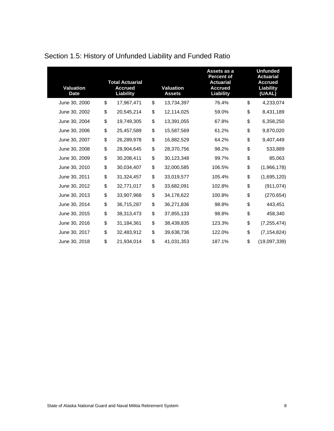| <b>Valuation</b><br><b>Date</b> | <b>Total Actuarial</b><br><b>Accrued</b><br>Liability | <b>Valuation</b><br><b>Assets</b> | Assets as a<br>Percent of<br><b>Actuarial</b><br><b>Accrued</b><br>Liability | <b>Unfunded</b><br><b>Actuarial</b><br><b>Accrued</b><br>Liability<br>(UAAL) |
|---------------------------------|-------------------------------------------------------|-----------------------------------|------------------------------------------------------------------------------|------------------------------------------------------------------------------|
| June 30, 2000                   | \$<br>17,967,471                                      | \$<br>13,734,397                  | 76.4%                                                                        | \$<br>4,233,074                                                              |
| June 30, 2002                   | \$<br>20,545,214                                      | \$<br>12,114,025                  | 59.0%                                                                        | \$<br>8,431,189                                                              |
| June 30, 2004                   | \$<br>19,749,305                                      | \$<br>13,391,055                  | 67.8%                                                                        | \$<br>6,358,250                                                              |
| June 30, 2006                   | \$<br>25,457,589                                      | \$<br>15,587,569                  | 61.2%                                                                        | \$<br>9,870,020                                                              |
| June 30, 2007                   | \$<br>26,289,978                                      | \$<br>16,882,529                  | 64.2%                                                                        | \$<br>9,407,449                                                              |
| June 30, 2008                   | \$<br>28,904,645                                      | \$<br>28,370,756                  | 98.2%                                                                        | \$<br>533,889                                                                |
| June 30, 2009                   | \$<br>30,208,411                                      | \$<br>30,123,348                  | 99.7%                                                                        | \$<br>85,063                                                                 |
| June 30, 2010                   | \$<br>30,034,407                                      | \$<br>32,000,585                  | 106.5%                                                                       | \$<br>(1,966,178)                                                            |
| June 30, 2011                   | \$<br>31,324,457                                      | \$<br>33,019,577                  | 105.4%                                                                       | \$<br>(1,695,120)                                                            |
| June 30, 2012                   | \$<br>32,771,017                                      | \$<br>33,682,091                  | 102.8%                                                                       | \$<br>(911, 074)                                                             |
| June 30, 2013                   | \$<br>33,907,968                                      | \$<br>34,178,622                  | 100.8%                                                                       | \$<br>(270, 654)                                                             |
| June 30, 2014                   | \$<br>36,715,287                                      | \$<br>36,271,836                  | 98.8%                                                                        | \$<br>443,451                                                                |
| June 30, 2015                   | \$<br>38,313,473                                      | \$<br>37,855,133                  | 98.8%                                                                        | \$<br>458,340                                                                |
| June 30, 2016                   | \$<br>31,184,361                                      | \$<br>38,439,835                  | 123.3%                                                                       | \$<br>(7, 255, 474)                                                          |
| June 30, 2017                   | \$<br>32,483,912                                      | \$<br>39,638,736                  | 122.0%                                                                       | \$<br>(7, 154, 824)                                                          |
| June 30, 2018                   | \$<br>21,934,014                                      | \$<br>41,031,353                  | 187.1%                                                                       | \$<br>(19,097,339)                                                           |

### <span id="page-11-0"></span>Section 1.5: History of Unfunded Liability and Funded Ratio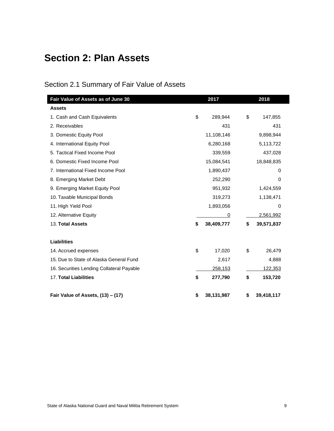### <span id="page-12-0"></span>**Section 2: Plan Assets**

### <span id="page-12-1"></span>Section 2.1 Summary of Fair Value of Assets

| Fair Value of Assets as of June 30        | 2017             | 2018             |
|-------------------------------------------|------------------|------------------|
| <b>Assets</b>                             |                  |                  |
| 1. Cash and Cash Equivalents              | \$<br>289,944    | \$<br>147,855    |
| 2. Receivables                            | 431              | 431              |
| 3. Domestic Equity Pool                   | 11,108,146       | 9,898,944        |
| 4. International Equity Pool              | 6,280,168        | 5,113,722        |
| 5. Tactical Fixed Income Pool             | 339,559          | 437,028          |
| 6. Domestic Fixed Income Pool             | 15,084,541       | 18,848,835       |
| 7. International Fixed Income Pool        | 1,890,437        | 0                |
| 8. Emerging Market Debt                   | 252,290          | 0                |
| 9. Emerging Market Equity Pool            | 951,932          | 1,424,559        |
| 10. Taxable Municipal Bonds               | 319,273          | 1,138,471        |
| 11. High Yield Pool                       | 1,893,056        | 0                |
| 12. Alternative Equity                    | 0                | 2,561,992        |
| 13. Total Assets                          | \$<br>38,409,777 | \$<br>39,571,837 |
| <b>Liabilities</b>                        |                  |                  |
| 14. Accrued expenses                      | \$<br>17,020     | \$<br>26,479     |
| 15. Due to State of Alaska General Fund   | 2,617            | 4,888            |
| 16. Securities Lending Collateral Payable | 258,153          | 122,353          |
| 17. Total Liabilities                     | \$<br>277,790    | \$<br>153,720    |
| Fair Value of Assets, (13) - (17)         | \$<br>38,131,987 | \$<br>39,418,117 |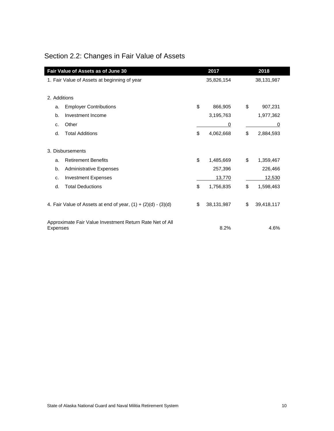### <span id="page-13-0"></span>Section 2.2: Changes in Fair Value of Assets

| Fair Value of Assets as of June 30                              |                                              |    | 2017       |    | 2018       |
|-----------------------------------------------------------------|----------------------------------------------|----|------------|----|------------|
|                                                                 | 1. Fair Value of Assets at beginning of year |    | 35,826,154 |    | 38,131,987 |
|                                                                 |                                              |    |            |    |            |
| 2. Additions                                                    |                                              |    |            |    |            |
| a.                                                              | <b>Employer Contributions</b>                | \$ | 866,905    | \$ | 907,231    |
| b.                                                              | Investment Income                            |    | 3,195,763  |    | 1,977,362  |
| C.                                                              | Other                                        |    | 0          |    | 0          |
| d.                                                              | <b>Total Additions</b>                       | \$ | 4,062,668  | \$ | 2,884,593  |
|                                                                 |                                              |    |            |    |            |
|                                                                 | 3. Disbursements                             |    |            |    |            |
| a.                                                              | <b>Retirement Benefits</b>                   | \$ | 1,485,669  | \$ | 1,359,467  |
| b.                                                              | <b>Administrative Expenses</b>               |    | 257,396    |    | 226,466    |
| c.                                                              | <b>Investment Expenses</b>                   |    | 13,770     |    | 12,530     |
| d.                                                              | <b>Total Deductions</b>                      | \$ | 1,756,835  | \$ | 1,598,463  |
|                                                                 |                                              |    |            |    |            |
| 4. Fair Value of Assets at end of year, $(1) + (2)(d) - (3)(d)$ |                                              | \$ | 38,131,987 | \$ | 39,418,117 |
|                                                                 |                                              |    |            |    |            |
| Approximate Fair Value Investment Return Rate Net of All        |                                              |    |            |    |            |
| Expenses                                                        |                                              |    | 8.2%       |    | 4.6%       |

i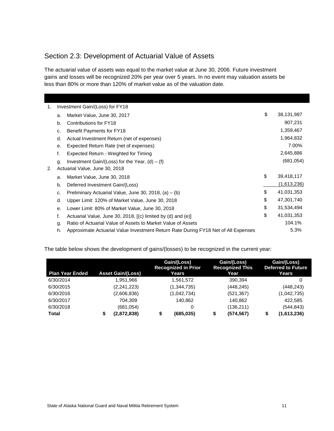### <span id="page-14-0"></span>Section 2.3: Development of Actuarial Value of Assets

The actuarial value of assets was equal to the market value at June 30, 2006. Future investment gains and losses will be recognized 20% per year over 5 years. In no event may valuation assets be less than 80% or more than 120% of market value as of the valuation date.

| 1. |    | Investment Gain/(Loss) for FY18                                                    |                  |
|----|----|------------------------------------------------------------------------------------|------------------|
|    | a. | Market Value, June 30, 2017                                                        | \$<br>38,131,987 |
|    | b. | Contributions for FY18                                                             | 907,231          |
|    | c. | <b>Benefit Payments for FY18</b>                                                   | 1,359,467        |
|    | d. | Actual Investment Return (net of expenses)                                         | 1,964,832        |
|    | е. | Expected Return Rate (net of expenses)                                             | 7.00%            |
|    | f. | Expected Return - Weighted for Timing                                              | 2,645,886        |
|    | g. | Investment Gain/(Loss) for the Year, $(d) - (f)$                                   | (681, 054)       |
| 2. |    | Actuarial Value, June 30, 2018                                                     |                  |
|    | a. | Market Value, June 30, 2018                                                        | \$<br>39,418,117 |
|    | b. | Deferred Investment Gain/(Loss)                                                    | (1,613,236)      |
|    | c. | Preliminary Actuarial Value, June 30, 2018, $(a) - (b)$                            | \$<br>41,031,353 |
|    | d. | Upper Limit: 120% of Market Value, June 30, 2018                                   | \$<br>47,301,740 |
|    | е. | Lower Limit: 80% of Market Value, June 30, 2018                                    | \$<br>31,534,494 |
|    | f. | Actuarial Value, June 30, 2018, [(c) limited by (d) and (e)]                       | \$<br>41,031,353 |
|    | g. | Ratio of Actuarial Value of Assets to Market Value of Assets                       | 104.1%           |
|    | h. | Approximate Actuarial Value Investment Return Rate During FY18 Net of All Expenses | 5.3%             |

The table below shows the development of gains/(losses) to be recognized in the current year:

| <b>Plan Year Ended</b> |   | <b>Asset Gain/(Loss)</b> | Gain/(Loss)<br><b>Recognized in Prior</b><br>Years | Gain/(Loss)<br><b>Recognized This</b><br>Year |   | Gain/(Loss)<br><b>Deferred to Future</b><br>Years |
|------------------------|---|--------------------------|----------------------------------------------------|-----------------------------------------------|---|---------------------------------------------------|
| 6/30/2014              |   | 1.951.966                | 1,561,572                                          | 390.394                                       |   | 0                                                 |
| 6/30/2015              |   | (2,241,223)              | (1,344,735)                                        | (448, 245)                                    |   | (448, 243)                                        |
| 6/30/2016              |   | (2,606,836)              | (1,042,734)                                        | (521,367)                                     |   | (1,042,735)                                       |
| 6/30/2017              |   | 704.309                  | 140.862                                            | 140,862                                       |   | 422,585                                           |
| 6/30/2018              |   | (681, 054)               | 0                                                  | (136, 211)                                    |   | (544, 843)                                        |
| Total                  | S | (2,872,838)              | \$<br>(685.035)                                    | (574,567)                                     | S | (1,613,236)                                       |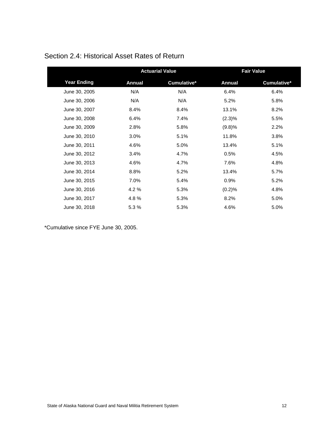|                    |               | <b>Actuarial Value</b> |               | <b>Fair Value</b> |
|--------------------|---------------|------------------------|---------------|-------------------|
| <b>Year Ending</b> | <b>Annual</b> | Cumulative*            | <b>Annual</b> | Cumulative*       |
| June 30, 2005      | N/A           | N/A                    | 6.4%          | 6.4%              |
| June 30, 2006      | N/A           | N/A                    | 5.2%          | 5.8%              |
| June 30, 2007      | 8.4%          | 8.4%                   | 13.1%         | 8.2%              |
| June 30, 2008      | 6.4%          | 7.4%                   | $(2.3)\%$     | 5.5%              |
| June 30, 2009      | 2.8%          | 5.8%                   | (9.8)%        | 2.2%              |
| June 30, 2010      | 3.0%          | 5.1%                   | 11.8%         | 3.8%              |
| June 30, 2011      | 4.6%          | 5.0%                   | 13.4%         | 5.1%              |
| June 30, 2012      | 3.4%          | 4.7%                   | 0.5%          | 4.5%              |
| June 30, 2013      | 4.6%          | 4.7%                   | 7.6%          | 4.8%              |
| June 30, 2014      | 8.8%          | 5.2%                   | 13.4%         | 5.7%              |
| June 30, 2015      | 7.0%          | 5.4%                   | 0.9%          | 5.2%              |
| June 30, 2016      | 4.2%          | 5.3%                   | (0.2)%        | 4.8%              |
| June 30, 2017      | 4.8%          | 5.3%                   | 8.2%          | 5.0%              |
| June 30, 2018      | 5.3 %         | 5.3%                   | 4.6%          | 5.0%              |

### <span id="page-15-0"></span>Section 2.4: Historical Asset Rates of Return

\*Cumulative since FYE June 30, 2005.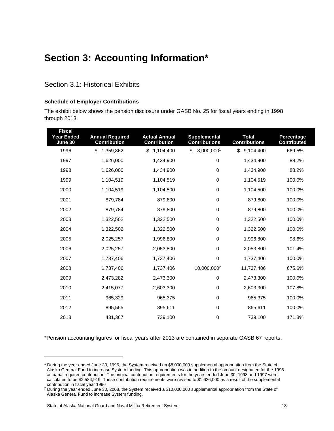### <span id="page-16-0"></span>**Section 3: Accounting Information\***

### <span id="page-16-1"></span>Section 3.1: Historical Exhibits

### **Schedule of Employer Contributions**

The exhibit below shows the pension disclosure under GASB No. 25 for fiscal years ending in 1998 through 2013.

| <b>Fiscal</b><br><b>Year Ended</b><br>June 30 | <b>Annual Required</b><br><b>Contribution</b> | <b>Actual Annual</b><br><b>Contribution</b> | <b>Supplemental</b><br><b>Contributions</b> | <b>Total</b><br><b>Contributions</b> | Percentage<br><b>Contributed</b> |
|-----------------------------------------------|-----------------------------------------------|---------------------------------------------|---------------------------------------------|--------------------------------------|----------------------------------|
| 1996                                          | \$<br>1,359,862                               | \$<br>1,104,400                             | \$<br>8,000,0001                            | \$<br>9,104,400                      | 669.5%                           |
| 1997                                          | 1,626,000                                     | 1,434,900                                   | $\pmb{0}$                                   | 1,434,900                            | 88.2%                            |
| 1998                                          | 1,626,000                                     | 1,434,900                                   | $\mathbf 0$                                 | 1,434,900                            | 88.2%                            |
| 1999                                          | 1,104,519                                     | 1,104,519                                   | $\mathbf 0$                                 | 1,104,519                            | 100.0%                           |
| 2000                                          | 1,104,519                                     | 1,104,500                                   | $\pmb{0}$                                   | 1,104,500                            | 100.0%                           |
| 2001                                          | 879,784                                       | 879,800                                     | $\pmb{0}$                                   | 879,800                              | 100.0%                           |
| 2002                                          | 879,784                                       | 879,800                                     | $\pmb{0}$                                   | 879,800                              | 100.0%                           |
| 2003                                          | 1,322,502                                     | 1,322,500                                   | $\mathbf 0$                                 | 1,322,500                            | 100.0%                           |
| 2004                                          | 1,322,502                                     | 1,322,500                                   | $\mathbf 0$                                 | 1,322,500                            | 100.0%                           |
| 2005                                          | 2,025,257                                     | 1,996,800                                   | $\mathbf 0$                                 | 1,996,800                            | 98.6%                            |
| 2006                                          | 2,025,257                                     | 2,053,800                                   | 0                                           | 2,053,800                            | 101.4%                           |
| 2007                                          | 1,737,406                                     | 1,737,406                                   | 0                                           | 1,737,406                            | 100.0%                           |
| 2008                                          | 1,737,406                                     | 1,737,406                                   | 10,000,000 <sup>2</sup>                     | 11,737,406                           | 675.6%                           |
| 2009                                          | 2,473,282                                     | 2,473,300                                   | $\mathbf 0$                                 | 2,473,300                            | 100.0%                           |
| 2010                                          | 2,415,077                                     | 2,603,300                                   | $\pmb{0}$                                   | 2,603,300                            | 107.8%                           |
| 2011                                          | 965,329                                       | 965,375                                     | $\pmb{0}$                                   | 965,375                              | 100.0%                           |
| 2012                                          | 895,565                                       | 895,611                                     | $\pmb{0}$                                   | 865,611                              | 100.0%                           |
| 2013                                          | 431,367                                       | 739,100                                     | $\pmb{0}$                                   | 739,100                              | 171.3%                           |

\*Pension accounting figures for fiscal years after 2013 are contained in separate GASB 67 reports.

l

<sup>1</sup> During the year ended June 30, 1996, the System received an \$8,000,000 supplemental appropriation from the State of Alaska General Fund to increase System funding. This appropriation was in addition to the amount designated for the 1996 actuarial required contribution. The original contribution requirements for the years ended June 30, 1998 and 1997 were calculated to be \$2,584,919. These contribution requirements were revised to \$1,626,000 as a result of the supplemental contribution in fiscal year 1996

<sup>2</sup> During the year ended June 30, 2008, the System received a \$10,000,000 supplemental appropriation from the State of Alaska General Fund to increase System funding.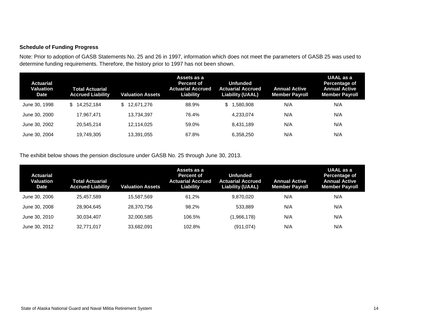### **Schedule of Funding Progress**

Note: Prior to adoption of GASB Statements No. 25 and 26 in 1997, information which does not meet the parameters of GASB 25 was used to determine funding requirements. Therefore, the history prior to 1997 has not been shown.

| Actuarial<br>Valuation<br><b>Date</b> | <b>Total Actuarial</b><br><b>Accrued Liability</b> | <b>Valuation Assets</b> | Assets as a<br><b>Percent of</b><br><b>Actuarial Accrued</b><br>Liability | <b>Unfunded</b><br><b>Actuarial Accrued</b><br><b>Liability (UAAL)</b> | <b>Annual Active</b><br><b>Member Payroll</b> | UAAL as a<br>Percentage of<br><b>Annual Active</b><br><b>Member Payroll</b> |
|---------------------------------------|----------------------------------------------------|-------------------------|---------------------------------------------------------------------------|------------------------------------------------------------------------|-----------------------------------------------|-----------------------------------------------------------------------------|
| June 30, 1998                         | 14.252.184<br>S.                                   | 12,671,276<br>\$        | 88.9%                                                                     | .580.908<br>\$                                                         | N/A                                           | N/A                                                                         |
| June 30, 2000                         | 17.967.471                                         | 13.734.397              | 76.4%                                                                     | 4.233.074                                                              | N/A                                           | N/A                                                                         |
| June 30, 2002                         | 20.545.214                                         | 12.114.025              | 59.0%                                                                     | 8.431.189                                                              | N/A                                           | N/A                                                                         |
| June 30, 2004                         | 19,749,305                                         | 13,391,055              | 67.8%                                                                     | 6,358,250                                                              | N/A                                           | N/A                                                                         |

The exhibit below shows the pension disclosure under GASB No. 25 through June 30, 2013.

| Actuarial<br>Valuation<br><b>Date</b> | Total Actuarial<br><b>Accrued Liability</b> | Valuation Assets | Assets as a<br><b>Percent of</b><br>Actuarial Accrued<br><b>Liability</b> | Unfunded<br><b>Actuarial Accrued</b><br><b>Liability (UAAL)</b> | <b>Annual Active</b><br><b>Member Payroll</b> | UAAL as a<br>Percentage of<br><b>Annual Active</b><br><b>Member Payroll</b> |
|---------------------------------------|---------------------------------------------|------------------|---------------------------------------------------------------------------|-----------------------------------------------------------------|-----------------------------------------------|-----------------------------------------------------------------------------|
| June 30, 2006                         | 25.457.589                                  | 15.587.569       | 61.2%                                                                     | 9.870.020                                                       | N/A                                           | N/A                                                                         |
| June 30, 2008                         | 28.904.645                                  | 28.370.756       | 98.2%                                                                     | 533.889                                                         | N/A                                           | N/A                                                                         |
| June 30, 2010                         | 30.034.407                                  | 32,000,585       | 106.5%                                                                    | (1,966,178)                                                     | N/A                                           | N/A                                                                         |
| June 30, 2012                         | 32.771.017                                  | 33.682.091       | 102.8%                                                                    | (911, 074)                                                      | N/A                                           | N/A                                                                         |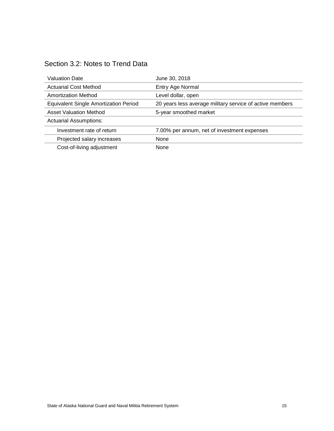<span id="page-18-0"></span>

| Section 3.2: Notes to Trend Data |  |
|----------------------------------|--|
|----------------------------------|--|

| <b>Valuation Date</b>                        | June 30, 2018                                            |
|----------------------------------------------|----------------------------------------------------------|
| <b>Actuarial Cost Method</b>                 | Entry Age Normal                                         |
| <b>Amortization Method</b>                   | Level dollar, open                                       |
| <b>Equivalent Single Amortization Period</b> | 20 years less average military service of active members |
| <b>Asset Valuation Method</b>                | 5-year smoothed market                                   |
| <b>Actuarial Assumptions:</b>                |                                                          |
| Investment rate of return                    | 7.00% per annum, net of investment expenses              |
| Projected salary increases                   | None                                                     |
| Cost-of-living adjustment                    | None                                                     |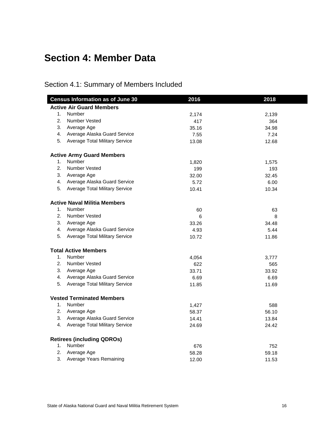### <span id="page-19-0"></span>**Section 4: Member Data**

### <span id="page-19-1"></span>Section 4.1: Summary of Members Included

|    | <b>Census Information as of June 30</b> | 2016  | 2018  |
|----|-----------------------------------------|-------|-------|
|    | <b>Active Air Guard Members</b>         |       |       |
|    | 1. Number                               | 2,174 | 2,139 |
| 2. | <b>Number Vested</b>                    | 417   | 364   |
|    | 3. Average Age                          | 35.16 | 34.98 |
|    | 4. Average Alaska Guard Service         | 7.55  | 7.24  |
|    | 5. Average Total Military Service       | 13.08 | 12.68 |
|    | <b>Active Army Guard Members</b>        |       |       |
| 1. | Number                                  | 1,820 | 1,575 |
|    | 2. Number Vested                        | 199   | 193   |
|    | 3. Average Age                          | 32.00 | 32.45 |
|    | 4. Average Alaska Guard Service         | 5.72  | 6.00  |
|    | 5. Average Total Military Service       | 10.41 | 10.34 |
|    | <b>Active Naval Militia Members</b>     |       |       |
| 1. | Number                                  | 60    | 63    |
| 2. | <b>Number Vested</b>                    | 6     | 8     |
|    | 3. Average Age                          | 33.26 | 34.48 |
|    | 4. Average Alaska Guard Service         | 4.93  | 5.44  |
|    | 5. Average Total Military Service       | 10.72 | 11.86 |
|    | <b>Total Active Members</b>             |       |       |
| 1. | Number                                  | 4,054 | 3,777 |
| 2. | Number Vested                           | 622   | 565   |
|    | 3. Average Age                          | 33.71 | 33.92 |
|    | 4. Average Alaska Guard Service         | 6.69  | 6.69  |
| 5. | <b>Average Total Military Service</b>   | 11.85 | 11.69 |
|    | <b>Vested Terminated Members</b>        |       |       |
|    | 1. Number                               | 1,427 | 588   |
|    | 2. Average Age                          | 58.37 | 56.10 |
|    | 3. Average Alaska Guard Service         | 14.41 | 13.84 |
|    | 4. Average Total Military Service       | 24.69 | 24.42 |
|    | <b>Retirees (including QDROs)</b>       |       |       |
| 1. | Number                                  | 676   | 752   |
| 2. | Average Age                             | 58.28 | 59.18 |
| 3. | Average Years Remaining                 | 12.00 | 11.53 |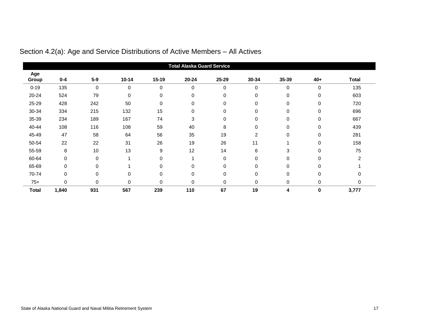<span id="page-20-0"></span>

|              |             |             |           |          | <b>Total Alaska Guard Service</b> |          |                |             |             |                |
|--------------|-------------|-------------|-----------|----------|-----------------------------------|----------|----------------|-------------|-------------|----------------|
| Age<br>Group | $0 - 4$     | $5-9$       | $10 - 14$ | $15-19$  | 20-24                             | 25-29    | 30-34          | 35-39       | 40+         | <b>Total</b>   |
| $0 - 19$     | 135         | 0           | 0         | $\Omega$ | 0                                 | 0        | 0              | 0           | 0           | 135            |
| 20-24        | 524         | 79          | 0         | 0        | 0                                 | 0        | 0              | 0           | $\mathbf 0$ | 603            |
| 25-29        | 428         | 242         | 50        | 0        | 0                                 | 0        | 0              | 0           | 0           | 720            |
| 30-34        | 334         | 215         | 132       | 15       | $\mathbf 0$                       | 0        | $\mathbf 0$    | 0           | $\mathbf 0$ | 696            |
| 35-39        | 234         | 189         | 167       | 74       | 3                                 | 0        | 0              | 0           | 0           | 667            |
| 40-44        | 108         | 116         | 108       | 59       | 40                                | 8        | 0              | 0           | $\mathbf 0$ | 439            |
| 45-49        | 47          | 58          | 64        | 56       | 35                                | 19       | $\overline{2}$ | 0           | 0           | 281            |
| 50-54        | 22          | 22          | 31        | 26       | 19                                | 26       | 11             |             | 0           | 158            |
| 55-59        | 8           | 10          | 13        | 9        | 12                                | 14       | 6              | 3           | $\mathbf 0$ | 75             |
| 60-64        | $\mathbf 0$ | 0           |           | $\Omega$ | 1                                 | $\Omega$ | 0              | $\mathbf 0$ | $\Omega$    | $\mathfrak{p}$ |
| 65-69        | $\Omega$    | $\mathbf 0$ |           | $\Omega$ | 0                                 | $\Omega$ | 0              | 0           | $\Omega$    |                |
| 70-74        | $\mathbf 0$ | $\pmb{0}$   | 0         | 0        | $\mathbf 0$                       | 0        | 0              | 0           | 0           |                |
| $75+$        | 0           | 0           | 0         | 0        | 0                                 | 0        | 0              | 0           | 0           | 0              |
| <b>Total</b> | 1,840       | 931         | 567       | 239      | 110                               | 67       | 19             | 4           | 0           | 3,777          |

Section 4.2(a): Age and Service Distributions of Active Members – All Actives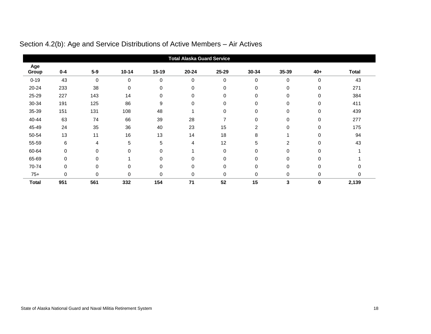<span id="page-21-0"></span>

|              |             |                |           |           | <b>Total Alaska Guard Service</b> |             |             |                |             |              |
|--------------|-------------|----------------|-----------|-----------|-----------------------------------|-------------|-------------|----------------|-------------|--------------|
| Age<br>Group | $0 - 4$     | $5-9$          | $10 - 14$ | $15 - 19$ | $20 - 24$                         | 25-29       | 30-34       | 35-39          | 40+         | <b>Total</b> |
| $0 - 19$     | 43          | 0              | 0         | 0         | 0                                 | $\mathbf 0$ | 0           | 0              | $\mathbf 0$ | 43           |
| 20-24        | 233         | 38             | 0         | 0         | 0                                 | $\mathbf 0$ | 0           | 0              | 0           | 271          |
| 25-29        | 227         | 143            | 14        | 0         | 0                                 | 0           | $\mathbf 0$ | 0              | $\mathbf 0$ | 384          |
| 30-34        | 191         | 125            | 86        | 9         | 0                                 | $\Omega$    | 0           | 0              | 0           | 411          |
| 35-39        | 151         | 131            | 108       | 48        |                                   | $\Omega$    | $\Omega$    | 0              | $\Omega$    | 439          |
| 40-44        | 63          | 74             | 66        | 39        | 28                                |             | 0           | 0              | 0           | 277          |
| 45-49        | 24          | 35             | 36        | 40        | 23                                | 15          | 2           | 0              | 0           | 175          |
| 50-54        | 13          | 11             | 16        | 13        | 14                                | 18          | 8           |                | $\mathbf 0$ | 94           |
| 55-59        | 6           | $\overline{4}$ | 5         | 5         | 4                                 | 12          | 5           | $\overline{2}$ | $\Omega$    | 43           |
| 60-64        | $\Omega$    | 0              | $\Omega$  | $\Omega$  |                                   | $\Omega$    | 0           | 0              | $\Omega$    |              |
| 65-69        | $\mathbf 0$ | 0              |           | $\Omega$  | 0                                 | $\Omega$    | 0           | 0              | $\Omega$    |              |
| 70-74        | $\mathbf 0$ | 0              | 0         | 0         | 0                                 | $\mathbf 0$ | $\mathbf 0$ | 0              | 0           |              |
| $75+$        | $\Omega$    | 0              | $\Omega$  | $\Omega$  | 0                                 | $\Omega$    | 0           | 0              | 0           | 0            |
| <b>Total</b> | 951         | 561            | 332       | 154       | 71                                | 52          | 15          | 3              | $\mathbf 0$ | 2,139        |

### Section 4.2(b): Age and Service Distributions of Active Members – Air Actives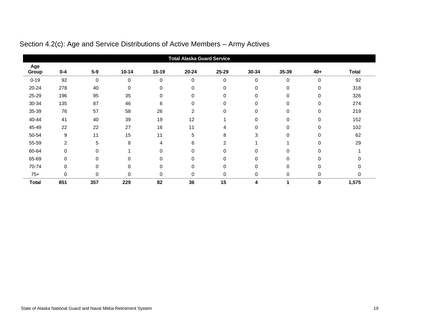<span id="page-22-0"></span>

|              |                |           |             |              | <b>Total Alaska Guard Service</b> |                |          |          |             |              |
|--------------|----------------|-----------|-------------|--------------|-----------------------------------|----------------|----------|----------|-------------|--------------|
| Age<br>Group | $0 - 4$        | $5-9$     | $10 - 14$   | 15-19        | $20 - 24$                         | 25-29          | 30-34    | 35-39    | 40+         | <b>Total</b> |
| $0 - 19$     | 92             | $\pmb{0}$ | $\mathbf 0$ | $\Omega$     | $\mathbf 0$                       | $\Omega$       | $\Omega$ | 0        | $\mathbf 0$ | 92           |
| 20-24        | 278            | 40        | 0           | 0            | 0                                 | 0              | 0        | 0        | 0           | 318          |
| 25-29        | 196            | 95        | 35          | 0            | $\mathbf 0$                       | 0              | 0        | 0        | $\mathbf 0$ | 326          |
| 30-34        | 135            | 87        | 46          | 6            | $\mathbf 0$                       | $\Omega$       | $\Omega$ | $\Omega$ | 0           | 274          |
| 35-39        | 76             | 57        | 58          | 26           | $\overline{2}$                    | $\Omega$       | $\Omega$ | 0        | $\Omega$    | 219          |
| 40-44        | 41             | 40        | 39          | 19           | 12                                |                | $\Omega$ | 0        | 0           | 152          |
| 45-49        | 22             | 22        | 27          | 16           | 11                                | 4              | 0        | 0        | 0           | 102          |
| 50-54        | 9              | 11        | 15          | 11           | 5                                 | 8              | 3        | 0        | $\mathbf 0$ | 62           |
| 55-59        | $\overline{2}$ | 5         | 8           | 4            | 6                                 | $\overline{2}$ |          |          | $\Omega$    | 29           |
| 60-64        | $\Omega$       | 0         |             | $\mathbf{0}$ | $\mathbf 0$                       | $\Omega$       | $\Omega$ | 0        | $\Omega$    |              |
| 65-69        | $\mathbf 0$    | 0         | $\Omega$    | 0            | $\mathbf 0$                       | $\Omega$       | $\Omega$ | 0        | $\Omega$    |              |
| 70-74        | 0              | 0         | 0           | 0            | 0                                 | 0              | 0        | 0        | 0           |              |
| $75+$        | $\Omega$       | 0         | $\Omega$    | $\Omega$     | $\mathbf 0$                       | $\Omega$       | 0        | 0        | $\mathbf 0$ | 0            |
| <b>Total</b> | 851            | 357       | 229         | 82           | 36                                | 15             | 4        |          | $\mathbf 0$ | 1,575        |

### Section 4.2(c): Age and Service Distributions of Active Members – Army Actives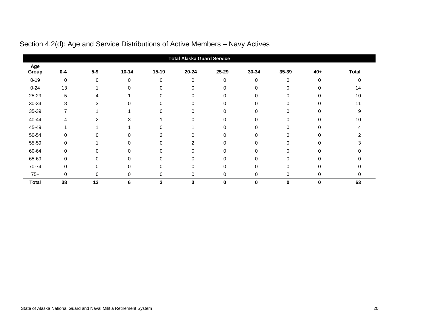<span id="page-23-0"></span>

|              |             |             |           |                | <b>Total Alaska Guard Service</b> |       |          |          |          |              |
|--------------|-------------|-------------|-----------|----------------|-----------------------------------|-------|----------|----------|----------|--------------|
| Age<br>Group | $0 - 4$     | $5-9$       | $10 - 14$ | 15-19          | $20 - 24$                         | 25-29 | 30-34    | 35-39    | $40+$    | <b>Total</b> |
| $0 - 19$     | $\mathbf 0$ | $\mathbf 0$ | $\Omega$  | $\mathbf{0}$   | $\mathbf 0$                       | 0     | 0        | 0        | $\Omega$ |              |
| $0 - 24$     | 13          |             |           | 0              | 0                                 |       | 0        | 0        | $\Omega$ | 14           |
| 25-29        | 5           |             |           | $\Omega$       | 0                                 | 0     | $\Omega$ | 0        | 0        | 10           |
| 30-34        | 8           | 3           |           | 0              | $\Omega$                          |       | 0        | O        |          |              |
| 35-39        | 7           |             |           | $\Omega$       | 0                                 |       | 0        |          |          | 9            |
| 40-44        | 4           |             |           |                | $\Omega$                          |       | O        | U        |          | 10           |
| 45-49        |             |             |           | $\Omega$       |                                   |       | 0        |          |          |              |
| 50-54        | 0           |             |           | $\overline{2}$ | $\Omega$                          |       | 0        | 0        |          |              |
| 55-59        | $\Omega$    |             |           | $\Omega$       |                                   |       | 0        |          |          |              |
| 60-64        | $\Omega$    |             |           | $\Omega$       | $\Omega$                          |       | 0        |          |          |              |
| 65-69        | $\Omega$    |             |           | U              | $\Omega$                          |       | ი        | n        |          |              |
| 70-74        | 0           |             |           | 0              | 0                                 |       | 0        |          |          |              |
| $75+$        | 0           | 0           | 0         | $\Omega$       | 0                                 | 0     | 0        | 0        | $\Omega$ |              |
| <b>Total</b> | 38          | 13          | 6         | 3              | 3                                 | 0     | 0        | $\bf{0}$ | $\bf{0}$ | 63           |

### Section 4.2(d): Age and Service Distributions of Active Members – Navy Actives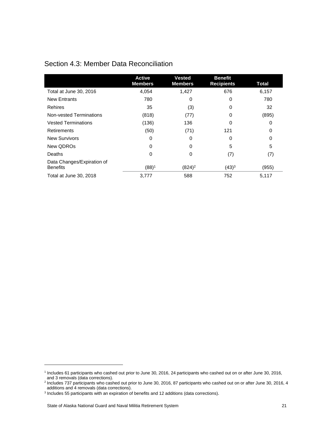<span id="page-24-0"></span>

| Section 4.3: Member Data Reconciliation |  |
|-----------------------------------------|--|
|-----------------------------------------|--|

|                                               | <b>Active</b><br><b>Members</b> | <b>Vested</b><br><b>Members</b> | <b>Benefit</b><br><b>Recipients</b> | Total |
|-----------------------------------------------|---------------------------------|---------------------------------|-------------------------------------|-------|
| Total at June 30, 2016                        | 4,054                           | 1,427                           | 676                                 | 6,157 |
| <b>New Entrants</b>                           | 780                             | $\Omega$                        | 0                                   | 780   |
| <b>Rehires</b>                                | 35                              | (3)                             | 0                                   | 32    |
| Non-vested Terminations                       | (818)                           | (77)                            | 0                                   | (895) |
| <b>Vested Terminations</b>                    | (136)                           | 136                             | 0                                   | 0     |
| Retirements                                   | (50)                            | (71)                            | 121                                 | 0     |
| <b>New Survivors</b>                          | 0                               | 0                               | 0                                   | 0     |
| New QDROs                                     | 0                               | 0                               | 5                                   | 5     |
| Deaths                                        | 0                               | 0                               | (7)                                 | (7)   |
| Data Changes/Expiration of<br><b>Benefits</b> | $(88)^1$                        | $(824)^2$                       | $(43)^3$                            | (955) |
| Total at June 30, 2018                        | 3,777                           | 588                             | 752                                 | 5,117 |

l

<sup>1</sup> Includes 61 participants who cashed out prior to June 30, 2016, 24 participants who cashed out on or after June 30, 2016, and 3 removals (data corrections). 2 Includes 737 participants who cashed out prior to June 30, 2016, 87 participants who cashed out on or after June 30, 2016, 4

additions and 4 removals (data corrections).

<sup>&</sup>lt;sup>3</sup> Includes 55 participants with an expiration of benefits and 12 additions (data corrections).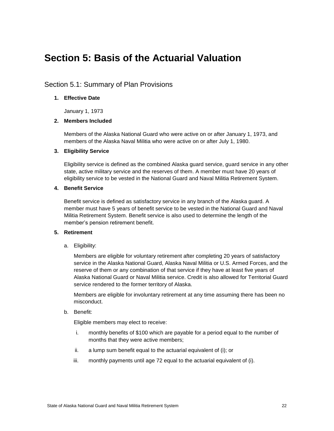### <span id="page-25-0"></span>**Section 5: Basis of the Actuarial Valuation**

### <span id="page-25-1"></span>Section 5.1: Summary of Plan Provisions

#### **1. Effective Date**

January 1, 1973

### **2. Members Included**

Members of the Alaska National Guard who were active on or after January 1, 1973, and members of the Alaska Naval Militia who were active on or after July 1, 1980.

### **3. Eligibility Service**

Eligibility service is defined as the combined Alaska guard service, guard service in any other state, active military service and the reserves of them. A member must have 20 years of eligibility service to be vested in the National Guard and Naval Militia Retirement System.

### **4. Benefit Service**

Benefit service is defined as satisfactory service in any branch of the Alaska guard. A member must have 5 years of benefit service to be vested in the National Guard and Naval Militia Retirement System. Benefit service is also used to determine the length of the member's pension retirement benefit.

#### **5. Retirement**

a. Eligibility:

Members are eligible for voluntary retirement after completing 20 years of satisfactory service in the Alaska National Guard, Alaska Naval Militia or U.S. Armed Forces, and the reserve of them or any combination of that service if they have at least five years of Alaska National Guard or Naval Militia service. Credit is also allowed for Territorial Guard service rendered to the former territory of Alaska.

Members are eligible for involuntary retirement at any time assuming there has been no misconduct.

b. Benefit:

Eligible members may elect to receive:

- i. monthly benefits of \$100 which are payable for a period equal to the number of months that they were active members;
- ii. a lump sum benefit equal to the actuarial equivalent of (i); or
- iii. monthly payments until age 72 equal to the actuarial equivalent of (i).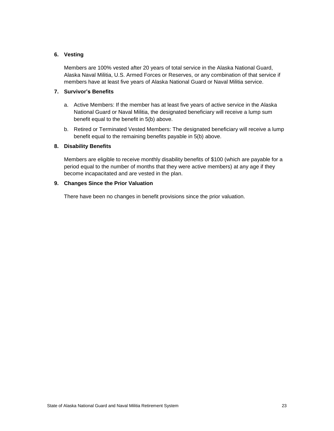### **6. Vesting**

Members are 100% vested after 20 years of total service in the Alaska National Guard, Alaska Naval Militia, U.S. Armed Forces or Reserves, or any combination of that service if members have at least five years of Alaska National Guard or Naval Militia service.

### **7. Survivor's Benefits**

- a. Active Members: If the member has at least five years of active service in the Alaska National Guard or Naval Militia, the designated beneficiary will receive a lump sum benefit equal to the benefit in 5(b) above.
- b. Retired or Terminated Vested Members: The designated beneficiary will receive a lump benefit equal to the remaining benefits payable in 5(b) above.

### **8. Disability Benefits**

Members are eligible to receive monthly disability benefits of \$100 (which are payable for a period equal to the number of months that they were active members) at any age if they become incapacitated and are vested in the plan.

### **9. Changes Since the Prior Valuation**

There have been no changes in benefit provisions since the prior valuation.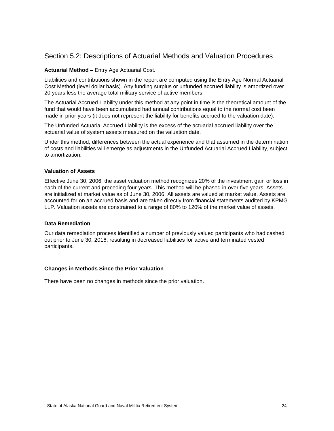### <span id="page-27-0"></span>Section 5.2: Descriptions of Actuarial Methods and Valuation Procedures

### **Actuarial Method –** Entry Age Actuarial Cost.

Liabilities and contributions shown in the report are computed using the Entry Age Normal Actuarial Cost Method (level dollar basis). Any funding surplus or unfunded accrued liability is amortized over 20 years less the average total military service of active members.

The Actuarial Accrued Liability under this method at any point in time is the theoretical amount of the fund that would have been accumulated had annual contributions equal to the normal cost been made in prior years (it does not represent the liability for benefits accrued to the valuation date).

The Unfunded Actuarial Accrued Liability is the excess of the actuarial accrued liability over the actuarial value of system assets measured on the valuation date.

Under this method, differences between the actual experience and that assumed in the determination of costs and liabilities will emerge as adjustments in the Unfunded Actuarial Accrued Liability, subject to amortization.

#### **Valuation of Assets**

Effective June 30, 2006, the asset valuation method recognizes 20% of the investment gain or loss in each of the current and preceding four years. This method will be phased in over five years. Assets are initialized at market value as of June 30, 2006. All assets are valued at market value. Assets are accounted for on an accrued basis and are taken directly from financial statements audited by KPMG LLP. Valuation assets are constrained to a range of 80% to 120% of the market value of assets.

#### **Data Remediation**

Our data remediation process identified a number of previously valued participants who had cashed out prior to June 30, 2016, resulting in decreased liabilities for active and terminated vested participants.

#### **Changes in Methods Since the Prior Valuation**

There have been no changes in methods since the prior valuation.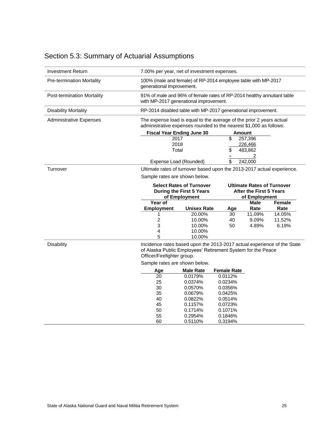| <b>Investment Return</b>         | 7.00% per year, net of investment expenses.                                                                                                                                                                                            |                    |                    |             |        |  |
|----------------------------------|----------------------------------------------------------------------------------------------------------------------------------------------------------------------------------------------------------------------------------------|--------------------|--------------------|-------------|--------|--|
| <b>Pre-termination Mortality</b> | 100% (male and female) of RP-2014 employee table with MP-2017<br>generational improvement.                                                                                                                                             |                    |                    |             |        |  |
| Post-termination Mortality       | 91% of male and 96% of female rates of RP-2014 healthy annuitant table<br>with MP-2017 generational improvement.                                                                                                                       |                    |                    |             |        |  |
| <b>Disability Mortality</b>      | RP-2014 disabled table with MP-2017 generational improvement.                                                                                                                                                                          |                    |                    |             |        |  |
| <b>Administrative Expenses</b>   | The expense load is equal to the average of the prior 2 years actual<br>administrative expenses rounded to the nearest \$1,000 as follows:                                                                                             |                    |                    |             |        |  |
|                                  | <b>Fiscal Year Ending June 30</b>                                                                                                                                                                                                      |                    | <b>Amount</b>      |             |        |  |
|                                  | 2017                                                                                                                                                                                                                                   |                    | \$                 | 257,396     |        |  |
|                                  | 2018                                                                                                                                                                                                                                   |                    |                    | 226,466     |        |  |
|                                  | Total                                                                                                                                                                                                                                  |                    | \$                 | 483,862     |        |  |
|                                  |                                                                                                                                                                                                                                        |                    | $\div$             | 2           |        |  |
|                                  | Expense Load (Rounded)                                                                                                                                                                                                                 |                    | \$                 | 242,000     |        |  |
| Turnover                         | Ultimate rates of turnover based upon the 2013-2017 actual experience.<br>Sample rates are shown below.<br><b>Select Rates of Turnover</b><br><b>Ultimate Rates of Turnover</b><br>During the First 5 Years<br>After the First 5 Years |                    |                    |             |        |  |
|                                  |                                                                                                                                                                                                                                        |                    |                    |             |        |  |
|                                  |                                                                                                                                                                                                                                        |                    |                    |             |        |  |
|                                  |                                                                                                                                                                                                                                        |                    |                    |             |        |  |
|                                  | of Employment<br>of Employment                                                                                                                                                                                                         |                    |                    |             |        |  |
|                                  | Year of                                                                                                                                                                                                                                |                    |                    | <b>Male</b> | Female |  |
|                                  | <b>Employment</b>                                                                                                                                                                                                                      | <b>Unisex Rate</b> | Age                | Rate        | Rate   |  |
|                                  | 1                                                                                                                                                                                                                                      | 20.00%             | 30                 | 11.09%      | 14.05% |  |
|                                  | 2                                                                                                                                                                                                                                      | 10.00%             | 40                 | 9.09%       | 11.52% |  |
|                                  | 3                                                                                                                                                                                                                                      | 10.00%             | 50                 | 4.89%       | 6.19%  |  |
|                                  | 4                                                                                                                                                                                                                                      | 10.00%             |                    |             |        |  |
|                                  | 5                                                                                                                                                                                                                                      | 10.00%             |                    |             |        |  |
| <b>Disability</b>                | Incidence rates based upon the 2013-2017 actual experience of the State<br>of Alaska Public Employees' Retirement System for the Peace<br>Officer/Firefighter group.                                                                   |                    |                    |             |        |  |
|                                  | Sample rates are shown below.                                                                                                                                                                                                          |                    |                    |             |        |  |
|                                  | Age                                                                                                                                                                                                                                    | <b>Male Rate</b>   | <b>Female Rate</b> |             |        |  |
|                                  | 20                                                                                                                                                                                                                                     | 0.0179%            | 0.0112%            |             |        |  |
|                                  | 25                                                                                                                                                                                                                                     | 0.0374%            | 0.0234%            |             |        |  |
|                                  | 30                                                                                                                                                                                                                                     | 0.0570%            | 0.0356%            |             |        |  |
|                                  | 35                                                                                                                                                                                                                                     | 0.0679%            | 0.0425%            |             |        |  |
|                                  | 40                                                                                                                                                                                                                                     | 0.0822%            | 0.0514%            |             |        |  |
|                                  | 45                                                                                                                                                                                                                                     | 0.1157%            | 0.0723%            |             |        |  |
|                                  | 50                                                                                                                                                                                                                                     | 0.1714%            | 0.1071%            |             |        |  |
|                                  |                                                                                                                                                                                                                                        |                    |                    |             |        |  |
|                                  | 55<br>60                                                                                                                                                                                                                               | 0.2954%<br>0.5110% | 0.1846%<br>0.3194% |             |        |  |

### <span id="page-28-0"></span>Section 5.3: Summary of Actuarial Assumptions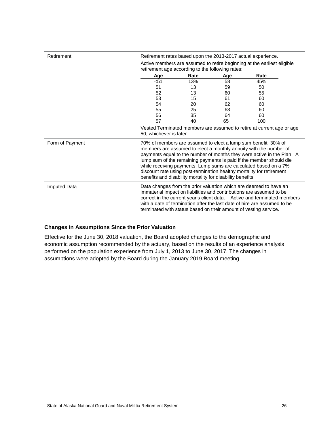| Retirement          | Retirement rates based upon the 2013-2017 actual experience.                                                                                                                                                                                                                                                                                                                                                                                                                                    |      |       |      |  |
|---------------------|-------------------------------------------------------------------------------------------------------------------------------------------------------------------------------------------------------------------------------------------------------------------------------------------------------------------------------------------------------------------------------------------------------------------------------------------------------------------------------------------------|------|-------|------|--|
|                     | Active members are assumed to retire beginning at the earliest eligible                                                                                                                                                                                                                                                                                                                                                                                                                         |      |       |      |  |
|                     | retirement age according to the following rates:                                                                                                                                                                                                                                                                                                                                                                                                                                                |      |       |      |  |
|                     | Age                                                                                                                                                                                                                                                                                                                                                                                                                                                                                             | Rate | Age   | Rate |  |
|                     | $51$                                                                                                                                                                                                                                                                                                                                                                                                                                                                                            | 13%  | 58    | 45%  |  |
|                     | 51                                                                                                                                                                                                                                                                                                                                                                                                                                                                                              | 13   | 59    | 50   |  |
|                     | 52                                                                                                                                                                                                                                                                                                                                                                                                                                                                                              | 13   | 60    | 55   |  |
|                     | 53                                                                                                                                                                                                                                                                                                                                                                                                                                                                                              | 15   | 61    | 60   |  |
|                     | 54                                                                                                                                                                                                                                                                                                                                                                                                                                                                                              | 20   | 62    | 60   |  |
|                     | 55                                                                                                                                                                                                                                                                                                                                                                                                                                                                                              | 25   | 63    | 60   |  |
|                     | 56                                                                                                                                                                                                                                                                                                                                                                                                                                                                                              | 35   | 64    | 60   |  |
|                     | 57                                                                                                                                                                                                                                                                                                                                                                                                                                                                                              | 40   | $65+$ | 100  |  |
|                     | Vested Terminated members are assumed to retire at current age or age<br>50, whichever is later.                                                                                                                                                                                                                                                                                                                                                                                                |      |       |      |  |
| Form of Payment     | 70% of members are assumed to elect a lump sum benefit. 30% of<br>members are assumed to elect a monthly annuity with the number of<br>payments equal to the number of months they were active in the Plan. A<br>lump sum of the remaining payments is paid if the member should die<br>while receiving payments. Lump sums are calculated based on a 7%<br>discount rate using post-termination healthy mortality for retirement<br>benefits and disability mortality for disability benefits. |      |       |      |  |
| <b>Imputed Data</b> | Data changes from the prior valuation which are deemed to have an<br>immaterial impact on liabilities and contributions are assumed to be<br>correct in the current year's client data. Active and terminated members<br>with a date of termination after the last date of hire are assumed to be<br>terminated with status based on their amount of vesting service.                                                                                                                           |      |       |      |  |

#### **Changes in Assumptions Since the Prior Valuation**

Effective for the June 30, 2018 valuation, the Board adopted changes to the demographic and economic assumption recommended by the actuary, based on the results of an experience analysis performed on the population experience from July 1, 2013 to June 30, 2017. The changes in assumptions were adopted by the Board during the January 2019 Board meeting.